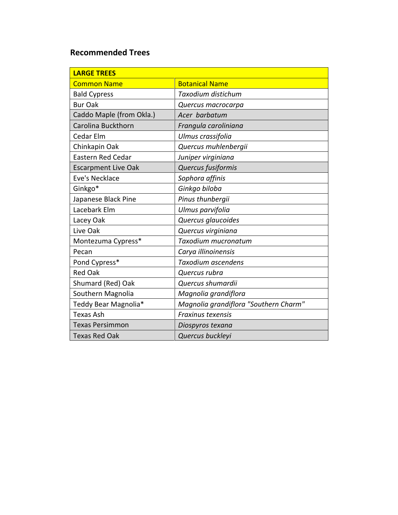## **Recommended Trees**

| <b>LARGE TREES</b>         |                                       |
|----------------------------|---------------------------------------|
| <b>Common Name</b>         | <b>Botanical Name</b>                 |
| <b>Bald Cypress</b>        | Taxodium distichum                    |
| <b>Bur Oak</b>             | Quercus macrocarpa                    |
| Caddo Maple (from Okla.)   | Acer barbatum                         |
| Carolina Buckthorn         | Frangula caroliniana                  |
| Cedar Elm                  | Ulmus crassifolia                     |
| Chinkapin Oak              | Quercus muhlenbergii                  |
| <b>Eastern Red Cedar</b>   | Juniper virginiana                    |
| <b>Escarpment Live Oak</b> | Quercus fusiformis                    |
| Eve's Necklace             | Sophora affinis                       |
| Ginkgo*                    | Ginkgo biloba                         |
| Japanese Black Pine        | Pinus thunbergii                      |
| Lacebark Elm               | Ulmus parvifolia                      |
| Lacey Oak                  | Quercus glaucoides                    |
| Live Oak                   | Quercus virginiana                    |
| Montezuma Cypress*         | Taxodium mucronatum                   |
| Pecan                      | Carya illinoinensis                   |
| Pond Cypress*              | Taxodium ascendens                    |
| <b>Red Oak</b>             | Quercus rubra                         |
| Shumard (Red) Oak          | Quercus shumardii                     |
| Southern Magnolia          | Magnolia grandiflora                  |
| Teddy Bear Magnolia*       | Magnolia grandiflora "Southern Charm" |
| <b>Texas Ash</b>           | Fraxinus texensis                     |
| <b>Texas Persimmon</b>     | Diospyros texana                      |
| <b>Texas Red Oak</b>       | Quercus buckleyi                      |